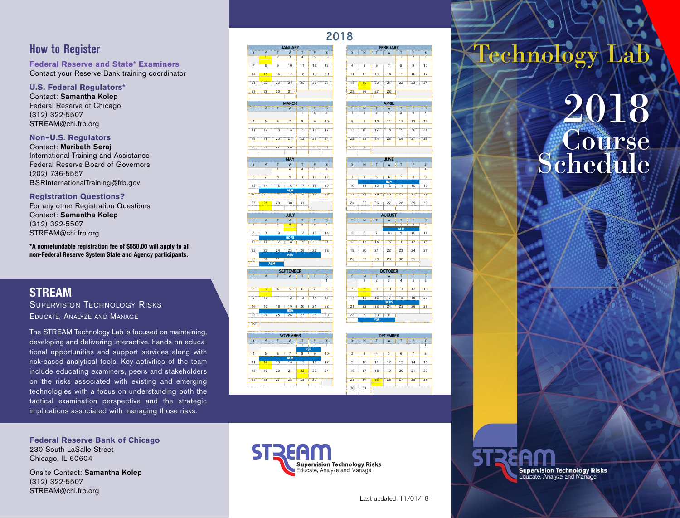## **How to Register**

**Federal Reserve and State\* Examiners** Contact your Reserve Bank training coordinator

## **U.S. Federal Regulators\***

Contact: **Samantha Kolep** Federal Reserve of Chicago (312) 322-5507 STREAM@chi.frb.org

### **Non–U.S. Regulators**

Contact: **Maribeth Seraj** International Training and Assistance Federal Reserve Board of Governors (202) 736-5557 BSRInternationalTraining@frb.gov

### **Registration Questions?**

For any other Registration Questions Contact: **Samantha Kolep** (312) 322-5507 STREAM@chi.frb.org

**\*A nonrefundable registration fee of \$550.00 will apply to all non-Federal Reserve System State and Agency participants.**

## **STREAM**

SUPERVISION TECHNOLOGY RISKS EDUCATE, ANALYZE AND MANAGE

The STREAM Technology Lab is focused on maintaining, developing and delivering interactive, hands-on educational opportunities and support services along with risk-based analytical tools. Key activities of the team include educating examiners, peers and stakeholders on the risks associated with existing and emerging technologies with a focus on understanding both the tactical examination perspective and the strategic implications associated with managing those risks.

**Federal Reserve Bank of Chicago** 230 South LaSalle Street Chicago, IL 60604

Onsite Contact: **Samantha Kolep** (312) 322-5507 STREAM@chi.frb.org





# **Supervision Technology Risks**

Educate, Analyze and Manage

25 26 27 28 29 30 23 24 25 26 27 28 29  $30 - 31$ 

## Technology Lab

## 2018 **Course Schedule**